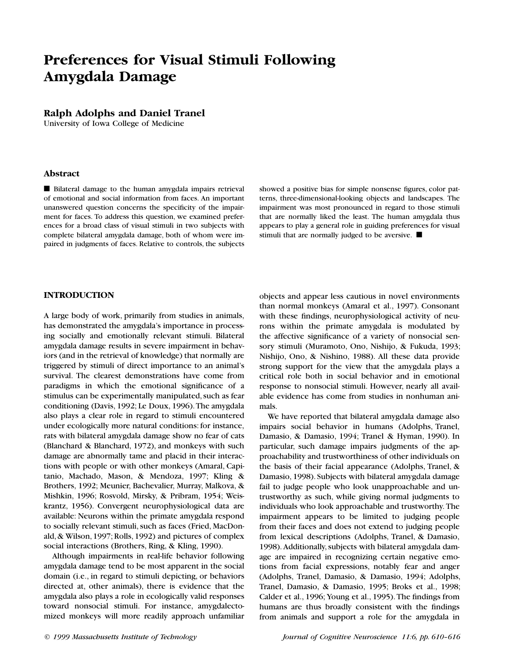# **Preferences for Visual Stimuli Following Amygdala Damage**

## **Ralph Adolphs and Daniel Tranel**

University of Iowa College of Medicine

## **Abstract**

■ Bilateral damage to the human amygdala impairs retrieval of emotional and social information from faces. An important unanswered question concerns the specificity of the impairment for faces. To address this question, we examined preferences for a broad class of visual stimuli in two subjects with complete bilateral amygdala damage, both of whom were impaired in judgments of faces. Relative to controls, the subjects showed a positive bias for simple nonsense figures, color patterns, three-dimensional-looking objects and landscapes. The impairment was most pronounced in regard to those stimuli that are normally liked the least. The human amygdala thus appears to play a general role in guiding preferences for visual stimuli that are normally judged to be aversive. ■

### **INTRODUCTION**

A large body of work, primarily from studies in animals, has demonstrated the amygdala's importance in processing socially and emotionally relevant stimuli. Bilateral amygdala damage results in severe impairment in behaviors (and in the retrieval of knowledge) that normally are triggered by stimuli of direct importance to an animal's survival. The clearest demonstrations have come from paradigms in which the emotional significance of a stimulus can be experimentally manipulated, such as fear conditioning (Davis, 1992; Le Doux, 1996). The amygdala also plays a clear role in regard to stimuli encountered under ecologically more natural conditions: for instance, rats with bilateral amygdala damage show no fear of cats (Blanchard & Blanchard, 1972), and monkeys with such damage are abnormally tame and placid in their interactions with people or with other monkeys (Amaral, Capitanio, Machado, Mason, & Mendoza, 1997; Kling & Brothers, 1992; Meunier, Bachevalier, Murray, Malkova, & Mishkin, 1996; Rosvold, Mirsky, & Pribram, 1954; Weiskrantz, 1956). Convergent neurophysiological data are available: Neurons within the primate amygdala respond to socially relevant stimuli, such as faces (Fried, MacDonald, & Wilson, 1997; Rolls, 1992) and pictures of complex social interactions (Brothers, Ring, & Kling, 1990).

Although impairments in real-life behavior following amygdala damage tend to be most apparent in the social domain (i.e., in regard to stimuli depicting, or behaviors directed at, other animals), there is evidence that the amygdala also plays a role in ecologically valid responses toward nonsocial stimuli. For instance, amygdalectomized monkeys will more readily approach unfamiliar

objects and appear less cautious in novel environments than normal monkeys (Amaral et al., 1997). Consonant with these findings, neurophysiological activity of neurons within the primate amygdala is modulated by the affective significance of a variety of nonsocial sensory stimuli (Muramoto, Ono, Nishijo, & Fukuda, 1993; Nishijo, Ono, & Nishino, 1988). All these data provide strong support for the view that the amygdala plays a critical role both in social behavior and in emotional response to nonsocial stimuli. However, nearly all available evidence has come from studies in nonhuman animals.

We have reported that bilateral amygdala damage also impairs social behavior in humans (Adolphs, Tranel, Damasio, & Damasio, 1994; Tranel & Hyman, 1990). In particular, such damage impairs judgments of the approachability and trustworthiness of other individuals on the basis of their facial appearance (Adolphs, Tranel, & Damasio, 1998). Subjects with bilateral amygdala damage fail to judge people who look unapproachable and untrustworthy as such, while giving normal judgments to individuals who look approachable and trustworthy. The impairment appears to be limited to judging people from their faces and does not extend to judging people from lexical descriptions (Adolphs, Tranel, & Damasio, 1998). Additionally, subjects with bilateral amygdala damage are impaired in recognizing certain negative emotions from facial expressions, notably fear and anger (Adolphs, Tranel, Damasio, & Damasio, 1994; Adolphs, Tranel, Damasio, & Damasio, 1995; Broks et al., 1998; Calder et al., 1996; Young et al., 1995). The findings from humans are thus broadly consistent with the findings from animals and support a role for the amygdala in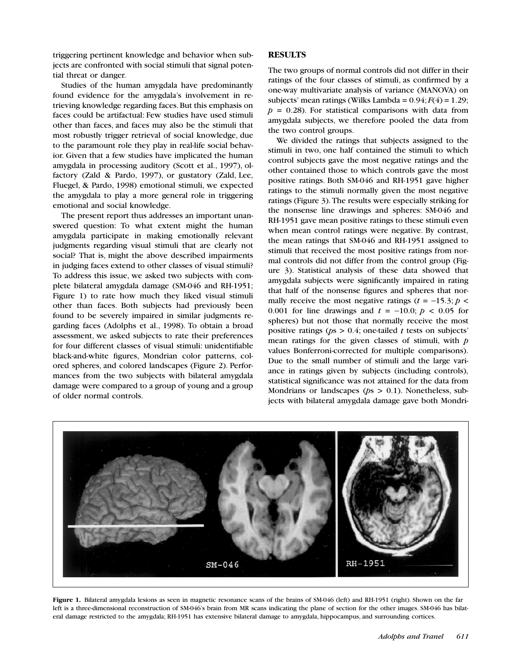triggering pertinent knowledge and behavior when subjects are confronted with social stimuli that signal potential threat or danger.

Studies of the human amygdala have predominantly found evidence for the amygdala's involvement in retrieving knowledge regarding faces. But this emphasis on faces could be artifactual: Few studies have used stimuli other than faces, and faces may also be the stimuli that most robustly trigger retrieval of social knowledge, due to the paramount role they play in real-life social behavior. Given that a few studies have implicated the human amygdala in processing auditory (Scott et al., 1997), olfactory (Zald & Pardo, 1997), or gustatory (Zald, Lee, Fluegel, & Pardo, 1998) emotional stimuli, we expected the amygdala to play a more general role in triggering emotional and social knowledge.

The present report thus addresses an important unanswered question: To what extent might the human amygdala participate in making emotionally relevant judgments regarding visual stimuli that are clearly not social? That is, might the above described impairments in judging faces extend to other classes of visual stimuli? To address this issue, we asked two subjects with complete bilateral amygdala damage (SM-046 and RH-1951; Figure 1) to rate how much they liked visual stimuli other than faces. Both subjects had previously been found to be severely impaired in similar judgments regarding faces (Adolphs et al., 1998). To obtain a broad assessment, we asked subjects to rate their preferences for four different classes of visual stimuli: unidentifiable black-and-white figures, Mondrian color patterns, colored spheres, and colored landscapes (Figure 2). Performances from the two subjects with bilateral amygdala damage were compared to a group of young and a group of older normal controls.

### **RESULTS**

The two groups of normal controls did not differ in their ratings of the four classes of stimuli, as confirmed by a one-way multivariate analysis of variance (MANOVA) on subjects' mean ratings (Wilks Lambda =  $0.94$ ;  $F(4) = 1.29$ ;  $p = 0.28$ ). For statistical comparisons with data from amygdala subjects, we therefore pooled the data from the two control groups.

We divided the ratings that subjects assigned to the stimuli in two, one half contained the stimuli to which control subjects gave the most negative ratings and the other contained those to which controls gave the most positive ratings. Both SM-046 and RH-1951 gave higher ratings to the stimuli normally given the most negative ratings (Figure 3). The results were especially striking for the nonsense line drawings and spheres: SM-046 and RH-1951 gave mean positive ratings to these stimuli even when mean control ratings were negative. By contrast, the mean ratings that SM-046 and RH-1951 assigned to stimuli that received the most positive ratings from normal controls did not differ from the control group (Figure 3). Statistical analysis of these data showed that amygdala subjects were significantly impaired in rating that half of the nonsense figures and spheres that normally receive the most negative ratings  $(t = -15.3; p <$ 0.001 for line drawings and *t* = −10.0; *p* < 0.05 for spheres) but not those that normally receive the most positive ratings (*p*s > 0.4; one-tailed *t* tests on subjects' mean ratings for the given classes of stimuli, with *p* values Bonferroni-corrected for multiple comparisons). Due to the small number of stimuli and the large variance in ratings given by subjects (including controls), statistical significance was not attained for the data from Mondrians or landscapes ( $ps > 0.1$ ). Nonetheless, subjects with bilateral amygdala damage gave both Mondri-



**Figure 1.** Bilateral amygdala lesions as seen in magnetic resonance scans of the brains of SM-046 (left) and RH-1951 (right). Shown on the far left is a three-dimensional reconstruction of SM-046's brain from MR scans indicating the plane of section for the other images. SM-046 has bilateral damage restricted to the amygdala; RH-1951 has extensive bilateral damage to amygdala, hippocampus, and surrounding cortices.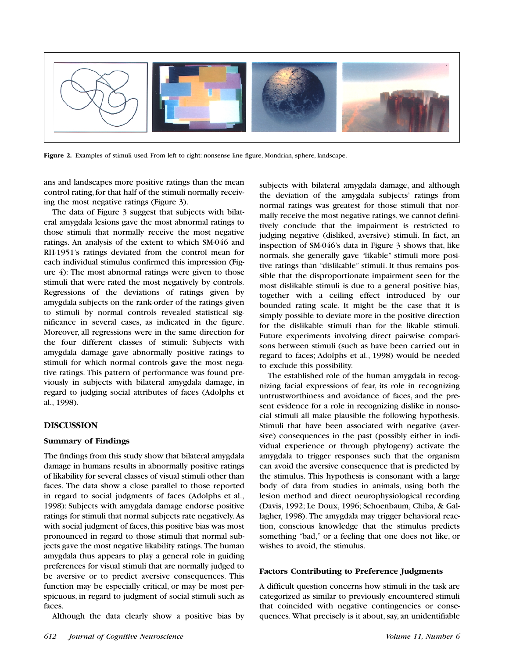

Figure 2. Examples of stimuli used. From left to right: nonsense line figure, Mondrian, sphere, landscape.

ans and landscapes more positive ratings than the mean control rating, for that half of the stimuli normally receiving the most negative ratings (Figure 3).

The data of Figure 3 suggest that subjects with bilateral amygdala lesions gave the most abnormal ratings to those stimuli that normally receive the most negative ratings. An analysis of the extent to which SM-046 and RH-1951's ratings deviated from the control mean for each individual stimulus confirmed this impression (Figure 4): The most abnormal ratings were given to those stimuli that were rated the most negatively by controls. Regressions of the deviations of ratings given by amygdala subjects on the rank-order of the ratings given to stimuli by normal controls revealed statistical significance in several cases, as indicated in the figure. Moreover, all regressions were in the same direction for the four different classes of stimuli: Subjects with amygdala damage gave abnormally positive ratings to stimuli for which normal controls gave the most negative ratings. This pattern of performance was found previously in subjects with bilateral amygdala damage, in regard to judging social attributes of faces (Adolphs et al., 1998).

#### **DISCUSSION**

#### **Summary of Findings**

The findings from this study show that bilateral amygdala damage in humans results in abnormally positive ratings of likability for several classes of visual stimuli other than faces. The data show a close parallel to those reported in regard to social judgments of faces (Adolphs et al., 1998): Subjects with amygdala damage endorse positive ratings for stimuli that normal subjects rate negatively. As with social judgment of faces, this positive bias was most pronounced in regard to those stimuli that normal subjects gave the most negative likability ratings. The human amygdala thus appears to play a general role in guiding preferences for visual stimuli that are normally judged to be aversive or to predict aversive consequences. This function may be especially critical, or may be most perspicuous, in regard to judgment of social stimuli such as faces.

Although the data clearly show a positive bias by

subjects with bilateral amygdala damage, and although the deviation of the amygdala subjects' ratings from normal ratings was greatest for those stimuli that normally receive the most negative ratings, we cannot definitively conclude that the impairment is restricted to judging negative (disliked, aversive) stimuli. In fact, an inspection of SM-046's data in Figure 3 shows that, like normals, she generally gave "likable" stimuli more positive ratings than "dislikable" stimuli. It thus remains possible that the disproportionate impairment seen for the most dislikable stimuli is due to a general positive bias, together with a ceiling effect introduced by our bounded rating scale. It might be the case that it is simply possible to deviate more in the positive direction for the dislikable stimuli than for the likable stimuli. Future experiments involving direct pairwise comparisons between stimuli (such as have been carried out in regard to faces; Adolphs et al., 1998) would be needed to exclude this possibility.

The established role of the human amygdala in recognizing facial expressions of fear, its role in recognizing untrustworthiness and avoidance of faces, and the present evidence for a role in recognizing dislike in nonsocial stimuli all make plausible the following hypothesis. Stimuli that have been associated with negative (aversive) consequences in the past (possibly either in individual experience or through phylogeny) activate the amygdala to trigger responses such that the organism can avoid the aversive consequence that is predicted by the stimulus. This hypothesis is consonant with a large body of data from studies in animals, using both the lesion method and direct neurophysiological recording (Davis, 1992; Le Doux, 1996; Schoenbaum, Chiba, & Gallagher, 1998). The amygdala may trigger behavioral reaction, conscious knowledge that the stimulus predicts something "bad," or a feeling that one does not like, or wishes to avoid, the stimulus.

#### **Factors Contributing to Preference Judgments**

A difficult question concerns how stimuli in the task are categorized as similar to previously encountered stimuli that coincided with negative contingencies or consequences. What precisely is it about, say, an unidentifiable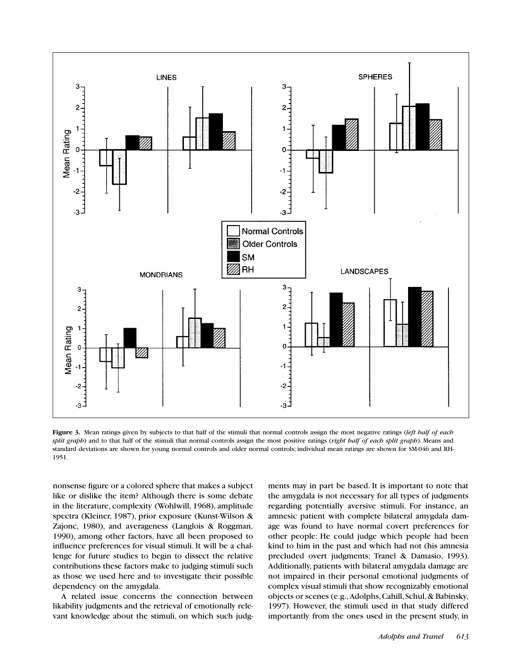

**Figure 3.** Mean ratings given by subjects to that half of the stimuli that normal controls assign the most negative ratings (*left half of each split graph*) and to that half of the stimuli that normal controls assign the most positive ratings (*right half of each split graph*). Means and standard deviations are shown for young normal controls and older normal controls; individual mean ratings are shown for SM-046 and RH-1951.

nonsense figure or a colored sphere that makes a subject like or dislike the item? Although there is some debate in the literature, complexity (Wohlwill, 1968), amplitude spectra (Kleiner, 1987), prior exposure (Kunst-Wilson & Zajonc, 1980), and averageness (Langlois & Roggman, 1990), among other factors, have all been proposed to influence preferences for visual stimuli. It will be a challenge for future studies to begin to dissect the relative contributions these factors make to judging stimuli such as those we used here and to investigate their possible dependency on the amygdala.

A related issue concerns the connection between likability judgments and the retrieval of emotionally relevant knowledge about the stimuli, on which such judgments may in part be based. It is important to note that the amygdala is not necessary for all types of judgments regarding potentially aversive stimuli. For instance, an amnesic patient with complete bilateral amygdala damage was found to have normal covert preferences for other people: He could judge which people had been kind to him in the past and which had not (his amnesia precluded overt judgments; Tranel & Damasio, 1993). Additionally, patients with bilateral amygdala damage are not impaired in their personal emotional judgments of complex visual stimuli that show recognizably emotional objects or scenes (e.g., Adolphs, Cahill, Schul, & Babinsky, 1997). However, the stimuli used in that study differed importantly from the ones used in the present study, in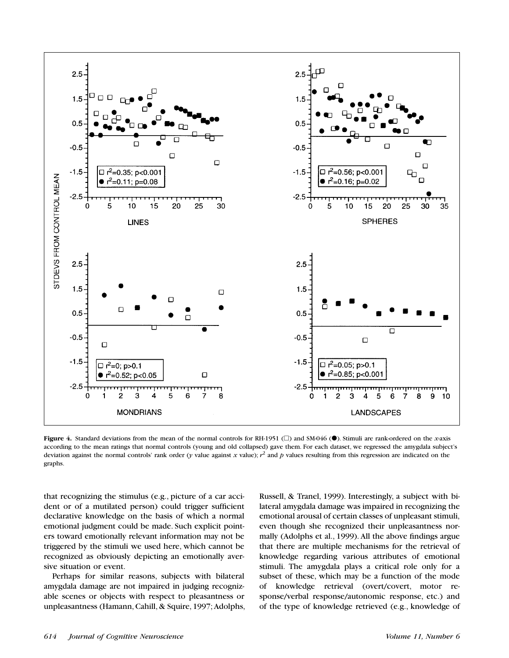

**Figure 4.** Standard deviations from the mean of the normal controls for RH-1951 ( $\Box$ ) and SM-046 ( $\bullet$ ). Stimuli are rank-ordered on the *x*-axis according to the mean ratings that normal controls (young and old collapsed) gave them. For each dataset, we regressed the amygdala subject's deviation against the normal controls' rank order (*y* value against *x* value);  $r^2$  and *p* values resulting from this regression are indicated on the graphs.

that recognizing the stimulus (e.g., picture of a car accident or of a mutilated person) could trigger sufficient declarative knowledge on the basis of which a normal emotional judgment could be made. Such explicit pointers toward emotionally relevant information may not be triggered by the stimuli we used here, which cannot be recognized as obviously depicting an emotionally aversive situation or event.

Perhaps for similar reasons, subjects with bilateral amygdala damage are not impaired in judging recognizable scenes or objects with respect to pleasantness or unpleasantness (Hamann, Cahill, & Squire, 1997; Adolphs, Russell, & Tranel, 1999). Interestingly, a subject with bilateral amygdala damage was impaired in recognizing the emotional arousal of certain classes of unpleasant stimuli, even though she recognized their unpleasantness normally (Adolphs et al., 1999). All the above findings argue that there are multiple mechanisms for the retrieval of knowledge regarding various attributes of emotional stimuli. The amygdala plays a critical role only for a subset of these, which may be a function of the mode of knowledge retrieval (overt/covert, motor response/verbal response/autonomic response, etc.) and of the type of knowledge retrieved (e.g., knowledge of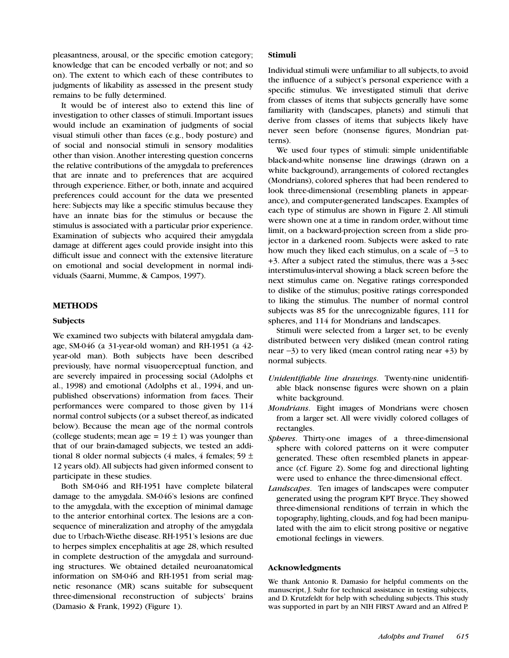pleasantness, arousal, or the specific emotion category; knowledge that can be encoded verbally or not; and so on). The extent to which each of these contributes to judgments of likability as assessed in the present study remains to be fully determined.

It would be of interest also to extend this line of investigation to other classes of stimuli. Important issues would include an examination of judgments of social visual stimuli other than faces (e.g., body posture) and of social and nonsocial stimuli in sensory modalities other than vision. Another interesting question concerns the relative contributions of the amygdala to preferences that are innate and to preferences that are acquired through experience. Either, or both, innate and acquired preferences could account for the data we presented here: Subjects may like a specific stimulus because they have an innate bias for the stimulus or because the stimulus is associated with a particular prior experience. Examination of subjects who acquired their amygdala damage at different ages could provide insight into this difficult issue and connect with the extensive literature on emotional and social development in normal individuals (Saarni, Mumme, & Campos, 1997).

#### **METHODS**

#### **Subjects**

We examined two subjects with bilateral amygdala damage, SM-046 (a 31-year-old woman) and RH-1951 (a 42 year-old man). Both subjects have been described previously, have normal visuoperceptual function, and are severely impaired in processing social (Adolphs et al., 1998) and emotional (Adolphs et al., 1994, and unpublished observations) information from faces. Their performances were compared to those given by 114 normal control subjects (or a subset thereof, as indicated below). Because the mean age of the normal controls (college students; mean age =  $19 \pm 1$ ) was younger than that of our brain-damaged subjects, we tested an additional 8 older normal subjects (4 males, 4 females;  $59 \pm$ 12 years old). All subjects had given informed consent to participate in these studies.

Both SM-046 and RH-1951 have complete bilateral damage to the amygdala. SM-046's lesions are confined to the amygdala, with the exception of minimal damage to the anterior entorhinal cortex. The lesions are a consequence of mineralization and atrophy of the amygdala due to Urbach-Wiethe disease. RH-1951's lesions are due to herpes simplex encephalitis at age 28, which resulted in complete destruction of the amygdala and surrounding structures. We obtained detailed neuroanatomical information on SM-046 and RH-1951 from serial magnetic resonance (MR) scans suitable for subsequent three-dimensional reconstruction of subjects' brains (Damasio & Frank, 1992) (Figure 1).

#### **Stimuli**

Individual stimuli were unfamiliar to all subjects, to avoid the influence of a subject's personal experience with a specific stimulus. We investigated stimuli that derive from classes of items that subjects generally have some familiarity with (landscapes, planets) and stimuli that derive from classes of items that subjects likely have never seen before (nonsense figures, Mondrian patterns).

We used four types of stimuli: simple unidentifiable black-and-white nonsense line drawings (drawn on a white background), arrangements of colored rectangles (Mondrians), colored spheres that had been rendered to look three-dimensional (resembling planets in appearance), and computer-generated landscapes. Examples of each type of stimulus are shown in Figure 2. All stimuli were shown one at a time in random order, without time limit, on a backward-projection screen from a slide projector in a darkened room. Subjects were asked to rate how much they liked each stimulus, on a scale of −3 to +3. After a subject rated the stimulus, there was a 3-sec interstimulus-interval showing a black screen before the next stimulus came on. Negative ratings corresponded to dislike of the stimulus; positive ratings corresponded to liking the stimulus. The number of normal control subjects was 85 for the unrecognizable figures, 111 for spheres, and 114 for Mondrians and landscapes.

Stimuli were selected from a larger set, to be evenly distributed between very disliked (mean control rating near −3) to very liked (mean control rating near +3) by normal subjects.

- *Unidentifiable line drawings*. Twenty-nine unidentifiable black nonsense figures were shown on a plain white background.
- *Mondrians*. Eight images of Mondrians were chosen from a larger set. All were vividly colored collages of rectangles.
- *Spheres*. Thirty-one images of a three-dimensional sphere with colored patterns on it were computer generated. These often resembled planets in appearance (cf. Figure 2). Some fog and directional lighting were used to enhance the three-dimensional effect.
- *Landscapes*. Ten images of landscapes were computer generated using the program KPT Bryce. They showed three-dimensional renditions of terrain in which the topography, lighting, clouds, and fog had been manipulated with the aim to elicit strong positive or negative emotional feelings in viewers.

#### **Acknowledgments**

We thank Antonio R. Damasio for helpful comments on the manuscript, J. Suhr for technical assistance in testing subjects, and D. Krutzfeldt for help with scheduling subjects. This study was supported in part by an NIH FIRST Award and an Alfred P.